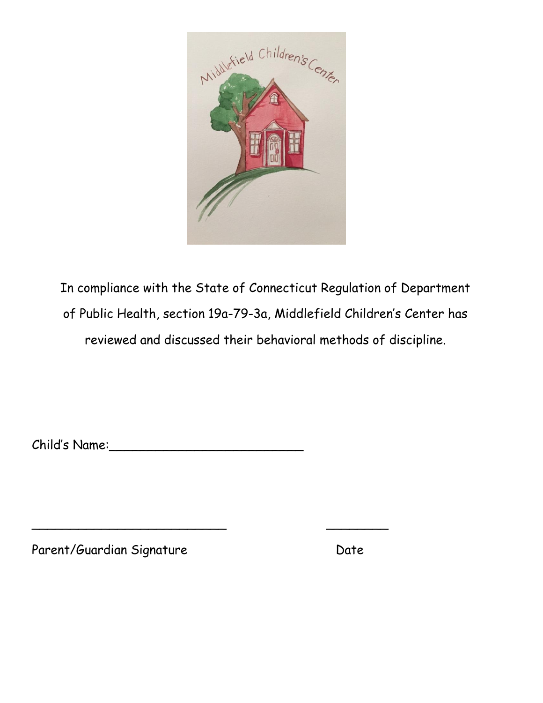

In compliance with the State of Connecticut Regulation of Department of Public Health, section 19a-79-3a, Middlefield Children's Center has reviewed and discussed their behavioral methods of discipline.

Child's Name:\_\_\_\_\_\_\_\_\_\_\_\_\_\_\_\_\_\_\_\_\_\_\_\_\_

\_\_\_\_\_\_\_\_\_\_\_\_\_\_\_\_\_\_\_\_\_\_\_\_\_ \_\_\_\_\_\_\_\_

Parent/Guardian Signature Date